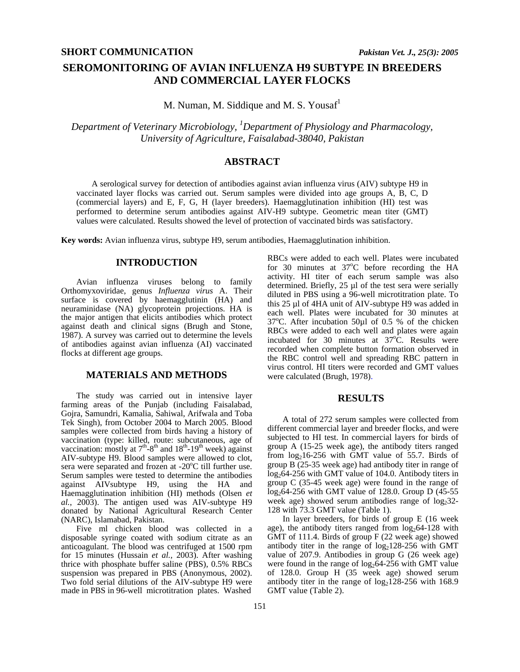# **SEROMONITORING OF AVIAN INFLUENZA H9 SUBTYPE IN BREEDERS AND COMMERCIAL LAYER FLOCKS**

M. Numan, M. Siddique and M. S. Yousaf<sup>1</sup>

*Department of Veterinary Microbiology, 1 Department of Physiology and Pharmacology, University of Agriculture, Faisalabad-38040, Pakistan*

## **ABSTRACT**

A serological survey for detection of antibodies against avian influenza virus (AIV) subtype H9 in vaccinated layer flocks was carried out. Serum samples were divided into age groups A, B, C, D (commercial layers) and E, F, G, H (layer breeders). Haemagglutination inhibition (HI) test was performed to determine serum antibodies against AIV-H9 subtype. Geometric mean titer (GMT) values were calculated. Results showed the level of protection of vaccinated birds was satisfactory.

**Key words:** Avian influenza virus, subtype H9, serum antibodies, Haemagglutination inhibition.

## **INTRODUCTION**

Avian influenza viruses belong to family Orthomyxoviridae, genus *Influenza virus* A. Their surface is covered by haemagglutinin (HA) and neuraminidase (NA) glycoprotein projections. HA is the major antigen that elicits antibodies which protect against death and clinical signs (Brugh and Stone, 1987). A survey was carried out to determine the levels of antibodies against avian influenza (AI) vaccinated flocks at different age groups.

## **MATERIALS AND METHODS**

The study was carried out in intensive layer farming areas of the Punjab (including Faisalabad, Gojra, Samundri, Kamalia, Sahiwal, Arifwala and Toba Tek Singh), from October 2004 to March 2005. Blood samples were collected from birds having a history of vaccination (type: killed, route: subcutaneous, age of vaccination: mostly at  $7<sup>th</sup>-8<sup>th</sup>$  and  $18<sup>th</sup>-19<sup>th</sup>$  week) against AIV-subtype H9. Blood samples were allowed to clot, sera were separated and frozen at -20 $^{\circ}$ C till further use. Serum samples were tested to determine the antibodies against AIVsubtype H9, using the HA and Haemagglutination inhibition (HI) methods (Olsen *et al.*, 2003). The antigen used was AIV-subtype H9 donated by National Agricultural Research Center (NARC), Islamabad, Pakistan.

Five ml chicken blood was collected in a disposable syringe coated with sodium citrate as an anticoagulant. The blood was centrifuged at 1500 rpm for 15 minutes (Hussain *et al.,* 2003). After washing thrice with phosphate buffer saline (PBS), 0.5% RBCs suspension was prepared in PBS (Anonymous, 2002). Two fold serial dilutions of the AIV-subtype H9 were made in PBS in 96-well microtitration plates. Washed

RBCs were added to each well. Plates were incubated for 30 minutes at  $37^{\circ}$ C before recording the HA activity. HI titer of each serum sample was also determined. Briefly, 25 µl of the test sera were serially diluted in PBS using a 96-well microtitration plate. To this 25 µl of 4HA unit of AIV-subtype H9 was added in each well. Plates were incubated for 30 minutes at 37°C. After incubation 50µl of 0.5 % of the chicken RBCs were added to each well and plates were again incubated for 30 minutes at  $37^{\circ}$ C. Results were recorded when complete button formation observed in the RBC control well and spreading RBC pattern in virus control. HI titers were recorded and GMT values were calculated (Brugh, 1978).

## **RESULTS**

A total of 272 serum samples were collected from different commercial layer and breeder flocks, and were subjected to HI test. In commercial layers for birds of group A (15-25 week age), the antibody titers ranged from  $log_2 16-256$  with GMT value of 55.7. Birds of group B (25-35 week age) had antibody titer in range of  $log_2 64-256$  with GMT value of 104.0. Antibody titers in group C (35-45 week age) were found in the range of  $log_2 64-256$  with GMT value of 128.0. Group D (45-55) week age) showed serum antibodies range of  $log_2 32$ -128 with 73.3 GMT value (Table 1).

In layer breeders, for birds of group E (16 week age), the antibody titers ranged from  $log_2 64-128$  with GMT of 111.4. Birds of group F (22 week age) showed antibody titer in the range of  $log_2 128-256$  with GMT value of 207.9. Antibodies in group G (26 week age) were found in the range of  $log_2 64-256$  with GMT value of 128.0. Group H (35 week age) showed serum antibody titer in the range of  $log_2 128-256$  with 168.9 GMT value (Table 2).